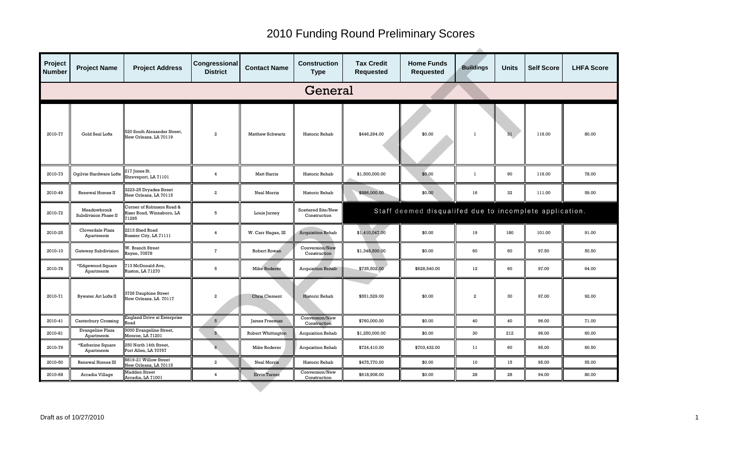| Project<br><b>Number</b> | <b>Project Name</b>                 | <b>Project Address</b>                                         | Congressional<br><b>District</b> | <b>Contact Name</b>     | <b>Construction</b><br><b>Type</b> | <b>Tax Credit</b><br><b>Requested</b> | <b>Home Funds</b><br><b>Requested</b>                   | <b>Buildings</b> | <b>Units</b> | <b>Self Score</b> | <b>LHFA Score</b> |
|--------------------------|-------------------------------------|----------------------------------------------------------------|----------------------------------|-------------------------|------------------------------------|---------------------------------------|---------------------------------------------------------|------------------|--------------|-------------------|-------------------|
| General                  |                                     |                                                                |                                  |                         |                                    |                                       |                                                         |                  |              |                   |                   |
| 2010-77                  | Gold Seal Lofts                     | 520 South Alexander Street,<br>New Orleans, LA 70119           | $\overline{a}$                   | <b>Matthew Schwartz</b> | Historic Rehab                     | \$446,294.00                          | \$0.00                                                  | -1               | 31           | 116.00            | 80.00             |
| 2010-73                  | Ogilvie Hardware Lofts              | 217 Jones St.<br>Shreveport, LA 71101                          | $\overline{4}$                   | <b>Matt Harris</b>      | Historic Rehab                     | \$1,500,000.00                        | \$0.00                                                  | -1               | 90           | 116.00            | 78.00             |
| 2010-49                  | Renewal Homes II                    | 3223-25 Dryades Street<br>New Orleans, LA 70115                | $\boldsymbol{2}$                 | Neal Morris             | Historic Rehab                     | \$886,000.00                          | \$0.00                                                  | 16               | 32           | 111.00            | 59.00             |
| 2010-72                  | Meadowbrook<br>Subdivision Phase II | Corner of Robinson Road &<br>Riser Road, Winnsboro, LA<br>1295 | 5                                | Louis Jurney            | Scattered Site/New<br>Construction |                                       | Staff deemed disqualifed due to incomplete application. |                  |              |                   |                   |
| 2010-25                  | Cloverdale Plaza<br>Apartments      | 2213 Shed Road<br>Bossier City, LA 71111                       | $\overline{4}$                   | W. Carr Hagan, III      | <b>Acquisition Rehab</b>           | \$1,410,047.00                        | \$0.00                                                  | 19               | 180          | 101.00            | 91.00             |
| 2010-10                  | Gateway Subdivision                 | <b>N. Branch Street</b><br>Rayne, 70578                        | $\overline{7}$                   | Robert Rowan            | Conversion/New<br>Construction     | \$1,348,500.00                        | \$0.00                                                  | 60               | 60           | 97.50             | 50.50             |
| 2010-78                  | *Edgewood Square<br>Apartments      | 13 McDonald Ave,<br>Ruston, LA 71270                           | 5                                | <b>Mike Roderer</b>     | <b>Acquisition Rehab</b>           | \$735,502.00                          | \$628,540.00                                            | $12 \,$          | 60           | 97.00             | 64.00             |
| 2010-71                  | <b>Bywater Art Lofts II</b>         | <b>3726 Dauphine Street</b><br>New Orleans, LA 70117           | $\overline{2}$                   | <b>Chris Clement</b>    | Historic Rehab                     | \$551,529.00                          | \$0.00                                                  | $\overline{a}$   | 30           | 97.00             | 92.00             |
| 2010-41                  | Canterbury Crossing                 | England Drive at Enterprise<br>baos                            | 5 <sub>1</sub>                   | James Freeman           | Conversion/New<br>Construction     | \$760,000.00                          | \$0.00                                                  | 40               | 40           | 96.00             | 71.00             |
| 2010-81                  | Evangeline Plaza<br>Apartments      | 3000 Evangeline Street,<br>Monroe, LA 71201                    | $5^{\circ}$                      | Robert Whittington      | Acquisition Rehab                  | \$1,250,000.00                        | \$0.00                                                  | 30               | 212          | 96.00             | 60.00             |
| 2010-79                  | *Katherine Square<br>Apartments     | 250 North 14th Street,<br>Port Allen, LA 70767                 | $6\overline{6}$                  | Mike Roderer            | <b>Acquisition Rehab</b>           | \$724,410.00                          | \$703,432.00                                            | 11               | 60           | 95.00             | 60.50             |
| 2010-50                  | Renewal Homes III                   | 8819-21 Willow Street<br>New Orleans, LA 70115                 | $\overline{a}$                   | <b>Neal Morris</b>      | Historic Rehab                     | \$475,770.00                          | \$0.00                                                  | 10 <sup>°</sup>  | 15           | 95.00             | 55.00             |
| 2010-68                  | Arcadia Village                     | <b>Madden Street</b><br>Arcadia, LA 71001                      | $\overline{4}$                   | <b>Ervin Turner</b>     | Conversion/New<br>Construction     | \$618,908.00                          | \$0.00                                                  | 28               | 28           | 94.00             | 80.00             |
|                          |                                     |                                                                |                                  |                         |                                    |                                       |                                                         |                  |              |                   |                   |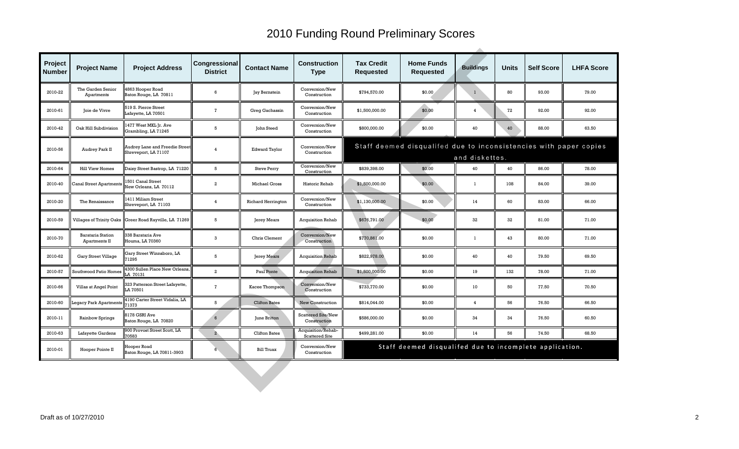| Project<br><b>Number</b> | <b>Project Name</b>                       | <b>Project Address</b>                                        | Congressional<br><b>District</b> | <b>Contact Name</b>       | <b>Construction</b><br><b>Type</b>          | <b>Tax Credit</b><br><b>Requested</b>                                               | <b>Home Funds</b><br><b>Requested</b>                   | <b>Buildings</b> | <b>Units</b> | <b>Self Score</b> | <b>LHFA Score</b> |  |
|--------------------------|-------------------------------------------|---------------------------------------------------------------|----------------------------------|---------------------------|---------------------------------------------|-------------------------------------------------------------------------------------|---------------------------------------------------------|------------------|--------------|-------------------|-------------------|--|
| 2010-22                  | The Garden Senior<br>Apartments           | 863 Hooper Road<br>Baton Rouge, LA 70811                      | 6                                | Jay Bernstein             | Conversion/New<br>Construction              | \$794,570.00                                                                        | \$0.00                                                  | $\mathbf{1}$     | 80           | 93.00             | 79.00             |  |
| 2010-61                  | Joie de Vivre                             | 519 S. Pierce Street<br>Lafayette, LA 70501                   | $\overline{1}$                   | Greg Gachassin            | Conversion/New<br>Construction              | \$1,500,000.00                                                                      | \$0.00                                                  | $\overline{4}$   | 72           | 92.00             | 92.00             |  |
| 2010-42                  | Oak Hill Subdivision                      | 1477 West MKL Jr. Ave<br>Grambling, LA 71245                  | 5                                | John Steed                | Conversion/New<br>Construction              | \$800,000.00                                                                        | \$0.00                                                  | 40               | 40           | 88.00             | 63.50             |  |
| 2010-56                  | Audrey Park II                            | <b>Audrey Lane and Freedie Street</b><br>Shreveport, LA 71107 | $\overline{4}$                   | <b>Edward Taylor</b>      | Conversion/New<br>Construction              | Staff deemed disqualifed due to inconsistencies with paper copies<br>and diskettes. |                                                         |                  |              |                   |                   |  |
| 2010-64                  | <b>Hill View Homes</b>                    | Daisy Street Bastrop, LA 71220                                | 5                                | <b>Steve Perry</b>        | Conversion/New<br>Construction              | \$839,398.00                                                                        | \$0.00                                                  | 40               | 40           | 86.00             | 78.00             |  |
| 2010-40                  | <b>Canal Street Apartments</b>            | 1501 Canal Street<br>New Orleans, LA 70112                    | $\overline{a}$                   | Michael Gross             | Historic Rehab                              | \$1,500,000.00                                                                      | \$0.00                                                  | $\mathbf{1}$     | 108          | 84.00             | 39.00             |  |
| 2010-20                  | The Renaissance                           | 1411 Miliam Street<br>Shreveport, LA 71103                    | $\overline{4}$                   | <b>Richard Herrington</b> | Conversion/New<br>Construction              | \$1,130,000.00                                                                      | \$0.00                                                  | 14               | 60           | 83.00             | 66.00             |  |
| 2010-59                  |                                           | Villages of Trinity Oaks Greer Road Rayville, LA 71269        | 5                                | Jerey Mears               | <b>Acquisition Rehab</b>                    | \$676,791.00                                                                        | \$0.00                                                  | 32               | 32           | 81.00             | 71.00             |  |
| 2010-70                  | <b>Barataria Station</b><br>Apartments II | 338 Barataria Ave<br>Houma, LA 70360                          | 3                                | Chris Clement             | Conversion/New<br>Construction              | \$770,861.00                                                                        | \$0.00                                                  | $\mathbf{1}$     | 43           | 80.00             | 71.00             |  |
| 2010-62                  | <b>Gary Street Village</b>                | Gary Street Winnsboro, LA<br>1295                             | 5                                | Jerey Mears               | <b>Acquisition Rehab</b>                    | \$822,978.00                                                                        | \$0.00                                                  | 40               | 40           | 79.50             | 69.50             |  |
| 2010-57                  | Southwood Patio Homes                     | 1300 Sullen Place New Orleans,<br>A 70131                     | $\overline{a}$                   | Paul Ponte                | <b>Acquisition Rehab</b>                    | \$1,500,000.00                                                                      | \$0.00                                                  | 19               | 132          | 78.00             | 71.00             |  |
| 2010-66                  | Villas at Angel Point                     | 323 Patterson Street Lafayette,<br>A 70501                    | $\mathbf{7}$                     | Kacee Thompson            | Conversion/New<br>Construction              | \$733,770.00                                                                        | \$0.00                                                  | 10 <sup>°</sup>  | 50           | 77.50             | 70.50             |  |
| 2010-60                  | <b>Legacy Park Apartments</b>             | 1190 Carter Street Vidalia, LA<br>71373                       | 5                                | <b>Clifton Bates</b>      | New Construction                            | \$814,044.00                                                                        | \$0.00                                                  | $\overline{4}$   | 56           | 76.50             | 66.50             |  |
| 2010-11                  | Rainbow Springs                           | 8178 GSRI Ave<br>Baton Rouge, LA 70820                        | 6                                | June Britton              | <b>Scattered Site/New</b><br>Construction   | \$586,000.00                                                                        | \$0.00                                                  | 34               | 34           | 76.50             | 60.50             |  |
| 2010-63                  | Lafayette Gardens                         | 900 Provost Street Scott, LA<br>70583                         | $\overline{2}$                   | <b>Clifton Bates</b>      | Acquisition/Rehab-<br><b>Scattered Site</b> | \$499,281.00                                                                        | \$0.00                                                  | 14               | 56           | 74.50             | 68.50             |  |
| 2010-01                  | Hooper Pointe II                          | <b>Hooper Road</b><br>Baton Rouge, LA 70811-3903              | 6                                | <b>Bill Truax</b>         | Conversion/New<br>Construction              |                                                                                     | Staff deemed disqualifed due to incomplete application. |                  |              |                   |                   |  |
|                          |                                           |                                                               |                                  |                           |                                             |                                                                                     |                                                         |                  |              |                   |                   |  |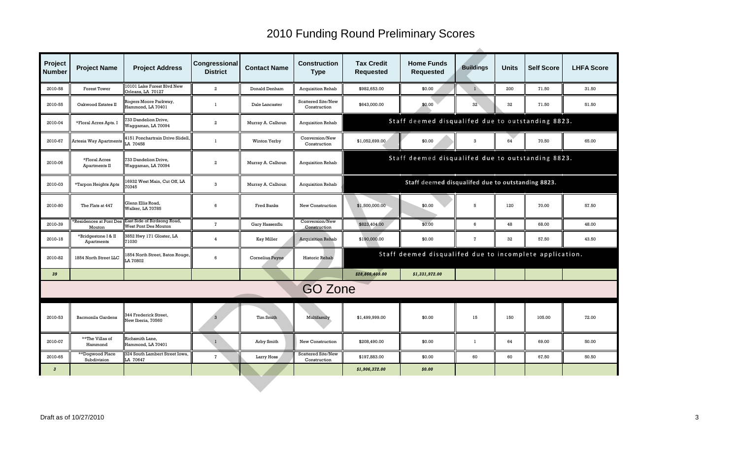| Project<br><b>Number</b> | <b>Project Name</b>               | <b>Project Address</b>                              | Congressional<br><b>District</b> | <b>Contact Name</b> | <b>Construction</b><br><b>Type</b> | <b>Tax Credit</b><br><b>Requested</b>             | <b>Home Funds</b><br><b>Requested</b>                   | <b>Buildings</b> | <b>Units</b> | <b>Self Score</b> | <b>LHFA Score</b> |  |  |
|--------------------------|-----------------------------------|-----------------------------------------------------|----------------------------------|---------------------|------------------------------------|---------------------------------------------------|---------------------------------------------------------|------------------|--------------|-------------------|-------------------|--|--|
| 2010-58                  | Forest Tower                      | 10101 Lake Forest Blvd New<br>Orleans, LA 70127     | $\overline{a}$                   | Donald Denham       | <b>Acquisition Rehab</b>           | \$982,653.00                                      | \$0.00                                                  | $\mathbf{1}$     | 200          | 71.50             | 31.50             |  |  |
| 2010-55                  | Oakwood Estates II                | Rogers Moore Parkway,<br>Jammond, LA 70401          | -1                               | Dale Lancaster      | Scattered Site/New<br>Construction | \$643,000.00                                      | \$0.00                                                  | 32               | 32           | 71.50             | 51.50             |  |  |
| 2010-04                  | *Floral Acres Apts. I             | <b>733 Dandelion Drive,</b><br>Vaggaman, LA 70094   | $\overline{2}$                   | Murray A. Calhoun   | <b>Acquisition Rehab</b>           |                                                   | Staff deemed disqualifed due to outstanding 8823.       |                  |              |                   |                   |  |  |
| 2010-67                  | Artesia Way Apartments            | 1151 Ponchartrain Drive Slidell,<br>LA 70458        | $\mathbf{1}$                     | Winton Yerby        | Conversion/New<br>Construction     | \$1,052,699.00                                    | \$0.00                                                  | 3                | 64           | 70.50             | 65.00             |  |  |
| 2010-06                  | *Floral Acres<br>Apartments II    | 733 Dandelion Drive,<br>Waggaman, LA 70094          | $\overline{a}$                   | Murray A. Calhoun   | <b>Acquisition Rehab</b>           | Staff deemed disqualifed due to outstanding 8823. |                                                         |                  |              |                   |                   |  |  |
| 2010-03                  | *Tarpon Heights Apts              | 16932 West Main, Cut Off, LA<br>70345               | 3                                | Murray A. Calhoun   | <b>Acquisition Rehab</b>           | Staff deemed disqualifed due to outstanding 8823. |                                                         |                  |              |                   |                   |  |  |
| 2010-80                  | The Flats at 447                  | Glenn Ellis Road,<br>Walker, LA 70785               | 6                                | Fred Banks          | New Construction                   | \$1,500,000.00                                    | \$0.00                                                  | 5                | 120          | 70.00             | 57.50             |  |  |
| 2010-39                  | Residences at Pont Des<br>Mouton  | East Side of Birdsong Road,<br>West Pont Des Mouton | $\mathbf{7}$                     | Gary Hassenflu      | Conversion/New<br>Construction     | \$823,404.00                                      | \$0.00                                                  | 6                | 48           | 68.00             | 48.00             |  |  |
| 2010-18                  | *Bridgestone I & II<br>Apartments | 3852 Hwy 171 Gloster, LA<br>71030                   | $\overline{4}$                   | <b>Kay Miller</b>   | <b>Acquisition Rehab</b>           | \$190,000.00                                      | \$0.00                                                  | $\mathbf{7}$     | 32           | 57.50             | 43.50             |  |  |
| 2010-82                  | 1854 North Street LLC             | 1854 North Street, Baton Rouge,<br>LA 70802         | 6                                | Cornelius Payne     | Historic Rehab                     |                                                   | Staff deemed disqualifed due to incomplete application. |                  |              |                   |                   |  |  |
| 39                       |                                   |                                                     |                                  |                     |                                    | \$28,866,409.00                                   | \$1,331,972.00                                          |                  |              |                   |                   |  |  |
|                          |                                   |                                                     |                                  |                     | <b>GO Zone</b>                     |                                                   |                                                         |                  |              |                   |                   |  |  |
| 2010-53                  | Bacmonila Gardens                 | 344 Frederick Street,<br>Vew Iberia, 70560          | $\mathcal{R}$                    | Tim Smith           | Multifamily                        | \$1.499.999.00                                    | \$0.00                                                  | 15               | 150          | 105.00            | 72.00             |  |  |
| 2010-07                  | **The Villas of<br>Hammond        | Richsmith Lane,<br>Hammond, LA 70401                | $\mathbf{1}$                     | Arby Smith          | New Construction                   | \$208,490.00                                      | \$0.00                                                  | $\mathbf{1}$     | 64           | 69.00             | 50.00             |  |  |
| 2010-65                  | **Dogwood Place<br>Subdivision    | 324 South Lambert Street Iowa.<br>LA 70647          | $\overline{7}$                   | Larry Hoss          | Scattered Site/New<br>Construction | \$197,883.00                                      | \$0.00                                                  | 60               | 60           | 67.50             | 50.50             |  |  |
| $\boldsymbol{3}$         |                                   |                                                     |                                  |                     |                                    | \$1,906,372.00                                    | \$0.00                                                  |                  |              |                   |                   |  |  |
|                          |                                   |                                                     |                                  |                     |                                    |                                                   |                                                         |                  |              |                   |                   |  |  |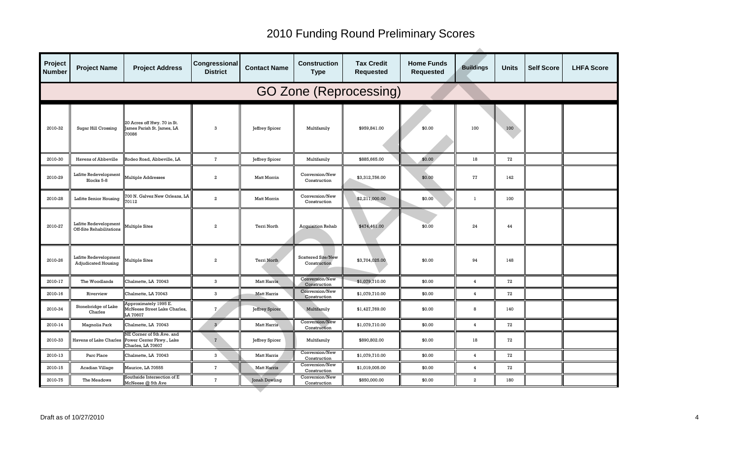| Project<br><b>Number</b>      | <b>Project Name</b>                                       | <b>Project Address</b>                                                                            | Congressional<br><b>District</b> | <b>Contact Name</b> | <b>Construction</b><br><b>Type</b>        | <b>Tax Credit</b><br><b>Requested</b> | <b>Home Funds</b><br><b>Requested</b> | <b>Buildings</b> | <b>Units</b> | <b>Self Score</b> | <b>LHFA Score</b> |  |
|-------------------------------|-----------------------------------------------------------|---------------------------------------------------------------------------------------------------|----------------------------------|---------------------|-------------------------------------------|---------------------------------------|---------------------------------------|------------------|--------------|-------------------|-------------------|--|
| <b>GO Zone (Reprocessing)</b> |                                                           |                                                                                                   |                                  |                     |                                           |                                       |                                       |                  |              |                   |                   |  |
| 2010-32                       | Sugar Hill Crossing                                       | 20 Acres off Hwy. 70 in St.<br>ames Parish St. James, LA<br>0086                                  | 3                                | Jeffrey Spicer      | Multifamily                               | \$959,841.00                          | \$0.00                                | 100              | 100          |                   |                   |  |
| 2010-30                       | Havens of Abbeville                                       | <b>Rodeo Road, Abbeville, LA</b>                                                                  | $\mathbf{7}$                     | Jeffrey Spicer      | Multifamily                               | \$885,665.00                          | \$0.00                                | 18               | 72           |                   |                   |  |
| 2010-29                       | Lafitte Redevelopment<br>Multiple Addresses<br>Blocks 5-8 |                                                                                                   | $\boldsymbol{2}$                 | Matt Morrin         | Conversion/New<br>Construction            | \$3,312,756.00                        | \$0.00                                | 77               | 142          |                   |                   |  |
| 2010-28                       | Lafitte Senior Housing                                    | 00 N. Galvez New Orleans, LA<br>0112                                                              | $\boldsymbol{2}$                 | Matt Morrin         | Conversion/New<br>Construction            | \$2,211,000.00                        | \$0.00                                | $\mathbf{1}$     | 100          |                   |                   |  |
| 2010-27                       | Lafitte Redevelopment<br>Off-Site Rehabilitations         | Multiple Sites                                                                                    | $\boldsymbol{2}$                 | Terri North         | <b>Acquisition Rehab</b>                  | \$474,461.00                          | \$0.00                                | 24               | 44           |                   |                   |  |
| 2010-26                       | Lafitte Redevelopment<br><b>Adjudicated Housing</b>       | <b>Iultiple Sites</b>                                                                             | $\overline{2}$                   | Terri North         | <b>Scattered Site/New</b><br>Construction | \$3,704,025.00                        | \$0.00                                | 94               | 148          |                   |                   |  |
| 2010-17                       | The Woodlands                                             | Chalmette, LA 70043                                                                               | 3                                | <b>Matt Harris</b>  | Conversion/New<br>Construction            | \$1,079,710.00                        | \$0.00                                | $\overline{4}$   | 72           |                   |                   |  |
| 2010-16                       | Riverview                                                 | Chalmette, LA 70043                                                                               | 3                                | <b>Matt Harris</b>  | Conversion/New<br>Construction            | \$1,079,710.00                        | \$0.00                                | $\overline{4}$   | 72           |                   |                   |  |
| 2010-34                       | Stonebridge of Lake<br>Charles                            | Approximately 1995 E.<br><b>IcNeese Street Lake Charles,</b><br>A 70607                           | 7 <sub>1</sub>                   | Jeffrey Spicer      | Multifamily                               | \$1,427,769.00                        | \$0.00                                | 8                | 140          |                   |                   |  |
| 2010-14                       | Magnolia Park                                             | Chalmette, LA 70043                                                                               | 3 <sup>7</sup>                   | <b>Matt Harris</b>  | Conversion/New<br>Construction            | \$1,079,710.00                        | \$0.00                                | $\overline{4}$   | 72           |                   |                   |  |
| 2010-33                       |                                                           | NE Corner of 5th Ave. and<br>Havens of Lake Charles Power Center Pkwy., Lake<br>Charles, LA 70607 | $\mathbf{7}$                     | Jeffrey Spicer      | Multifamily                               | \$890,802.00                          | \$0.00                                | 18               | 72           |                   |                   |  |
| 2010-13                       | Parc Place                                                | Chalmette, LA 70043                                                                               | 3                                | <b>Matt Harris</b>  | Conversion/New<br>Construction            | \$1,079,710.00                        | \$0.00                                | $\overline{4}$   | 72           |                   |                   |  |
| 2010-15                       | Acadian Village                                           | Maurice, LA 70555                                                                                 | $\overline{7}$                   | <b>Matt Harris</b>  | Conversion/New<br>Construction            | \$1,019,005.00                        | \$0.00                                | $\overline{4}$   | 72           |                   |                   |  |
| 2010-75                       | The Meadows                                               | Southside Intersection of E<br>McNeese @ 5th Ave                                                  | $\mathbf{7}$                     | Jonah Dowling       | Conversion/New<br>Construction            | \$850,000.00                          | \$0.00                                | $\overline{a}$   | 180          |                   |                   |  |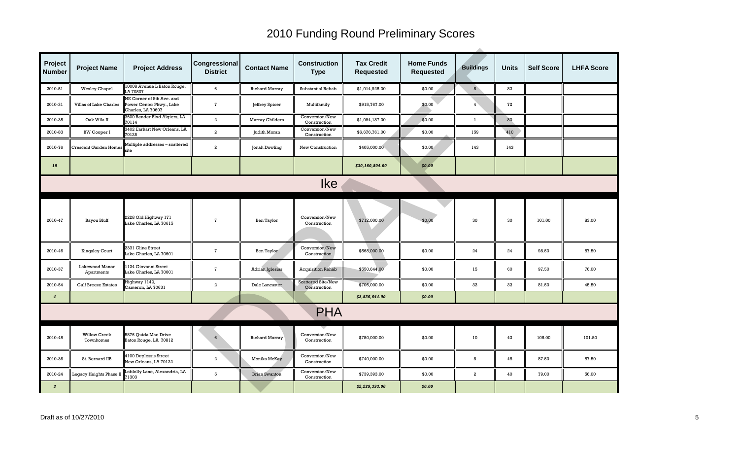| Project<br><b>Number</b> | <b>Project Name</b>              | <b>Project Address</b>                                                     | Congressional<br><b>District</b> | <b>Contact Name</b>    | <b>Construction</b><br><b>Type</b>        | <b>Tax Credit</b><br><b>Requested</b> | <b>Home Funds</b><br><b>Requested</b> | <b>Buildings</b> | <b>Units</b> | <b>Self Score</b> | <b>LHFA Score</b> |
|--------------------------|----------------------------------|----------------------------------------------------------------------------|----------------------------------|------------------------|-------------------------------------------|---------------------------------------|---------------------------------------|------------------|--------------|-------------------|-------------------|
| 2010-51                  | <b>Wesley Chapel</b>             | 10008 Avenue L Baton Rouge,<br>A 70807                                     | 6                                | <b>Richard Murray</b>  | Substantial Rehab                         | \$1,014,925.00                        | \$0.00                                | $\bf{8}$         | 82           |                   |                   |
| 2010-31                  | Villas of Lake Charles           | NE Corner of 5th Ave. and<br>Power Center Pkwy., Lake<br>Charles, LA 70607 | $\mathbf{7}$                     | Jeffrey Spicer         | Multifamily                               | \$915,767.00                          | \$0.00                                | 4                | 72           |                   |                   |
| 2010-35                  | Oak Villa II                     | 3600 Bender Blvd Algiers, LA<br>70114                                      | $\overline{a}$                   | Murray Childers        | Conversion/New<br>Construction            | \$1,094,187.00                        | \$0.00                                | $\mathbf{1}$     | 80           |                   |                   |
| 2010-83                  | <b>BW Cooper I</b>               | 3402 Earhart New Orleans, LA<br>70125                                      | $\overline{a}$                   | Judith Moran           | Conversion/New<br>Construction            | \$6,676,761.00                        | \$0.00                                | 159              | 410          |                   |                   |
| 2010-76                  | <b>Crescent Garden Homes</b>     | Multiple addresses - scattered<br>site                                     | $\boldsymbol{2}$                 | Jonah Dowling          | New Construction                          | \$405,000.00                          | \$0.00                                | 143              | 143          |                   |                   |
| 19                       |                                  |                                                                            |                                  |                        |                                           | \$30,160,804.00                       | \$0.00                                |                  |              |                   |                   |
| <b>Ike</b>               |                                  |                                                                            |                                  |                        |                                           |                                       |                                       |                  |              |                   |                   |
| 2010-47                  | Bayou Bluff                      | 2228 Old Highway 171<br>Lake Charles, LA 70615                             | $\overline{7}$                   | Ben Taylor             | Conversion/New<br>Construction            | \$712,000.00                          | \$0.00                                | 30               | 30           | 101.00            | 83.00             |
| 2010-46                  | <b>Kingsley Court</b>            | 2331 Cline Street<br>Lake Charles, LA 70601                                | $\overline{7}$                   | Ben Taylor             | Conversion/New<br>Construction            | \$568,000.00                          | \$0.00                                | 24               | 24           | 98.50             | 87.50             |
| 2010-37                  | Lakewood Manor<br>Apartments     | 124 Giovanni Street<br>Lake Charles, LA 70601                              | $\mathbf{7}$                     | <b>Adrian Iglesias</b> | <b>Acquisition Rehab</b>                  | \$550,644.00                          | \$0.00                                | 15               | 60           | 97.50             | 76.00             |
| 2010-54                  | <b>Gulf Breeze Estates</b>       | Highway 1142,<br>Cameron, LA 70631                                         | $\mathbf{2}$                     | Dale Lancaster         | <b>Scattered Site/New</b><br>Construction | \$706,000.00                          | \$0.00                                | 32               | 32           | 81.50             | 45.50             |
| $\overline{4}$           |                                  |                                                                            |                                  |                        |                                           | \$2,536,644.00                        | \$0.00                                |                  |              |                   |                   |
|                          |                                  |                                                                            |                                  |                        | <b>PHA</b>                                |                                       |                                       |                  |              |                   |                   |
| 2010-48                  | <b>Willow Creek</b><br>Townhomes | 5876 Quida Mae Drive<br>Baton Rouge, LA 70812                              | 6                                | <b>Richard Murray</b>  | Conversion/New<br>Construction            | \$750,000,00                          | \$0.00                                | 10               | 42           | 105.00            | 101.50            |
| 2010-36                  | St. Bernard IIB                  | 4100 Duplessis Street<br>New Orleans, LA 70122                             | $\overline{a}$                   | Monika McKay           | Conversion/New<br>Construction            | \$740,000.00                          | \$0.00                                | 8                | 48           | 87.50             | 87.50             |
| 2010-24                  | Legacy Heights Phase II          | Loblolly Lane, Alexandria, LA<br>1303                                      | $5^{\circ}$                      | <b>Brian Swanton</b>   | Conversion/New<br>Construction            | \$739,393.00                          | \$0.00                                | $\overline{a}$   | 40           | 79.00             | 56.00             |
| $\boldsymbol{3}$         |                                  |                                                                            |                                  |                        |                                           | \$2,229,393.00                        | \$0.00                                |                  |              |                   |                   |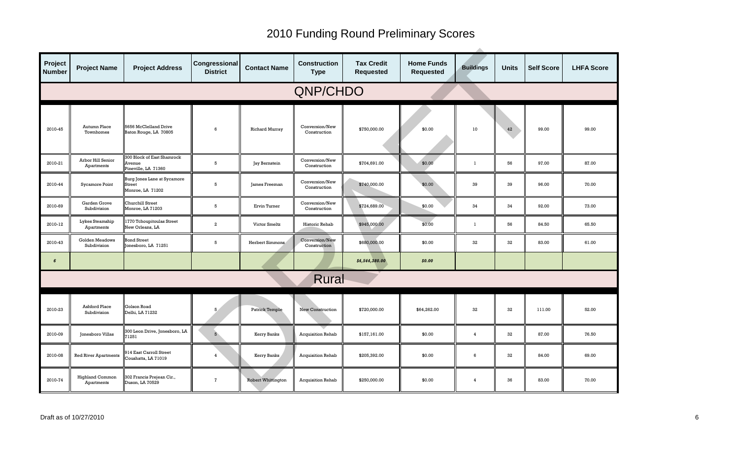| Project<br><b>Number</b> | <b>Project Name</b>                  | <b>Project Address</b>                                             | Congressional<br><b>District</b> | <b>Contact Name</b>       | <b>Construction</b><br><b>Type</b> | <b>Tax Credit</b><br><b>Requested</b> | <b>Home Funds</b><br><b>Requested</b> | <b>Buildings</b> | <b>Units</b> | <b>Self Score</b> | <b>LHFA Score</b> |
|--------------------------|--------------------------------------|--------------------------------------------------------------------|----------------------------------|---------------------------|------------------------------------|---------------------------------------|---------------------------------------|------------------|--------------|-------------------|-------------------|
|                          | QNP/CHDO                             |                                                                    |                                  |                           |                                    |                                       |                                       |                  |              |                   |                   |
| 2010-45                  | Autumn Place<br>Townhomes            | 5656 McClelland Drive<br>Baton Rouge, LA 70805                     | 6                                | <b>Richard Murray</b>     | Conversion/New<br>Construction     | \$750,000.00                          | \$0.00                                | 10               | 42           | 99.00             | 99.00             |
| 2010-21                  | Arbor Hill Senior<br>Apartments      | 300 Block of East Shamrock<br><b>Ivenue</b><br>Pineville, LA 71360 | 5                                | Jay Bernstein             | Conversion/New<br>Construction     | \$704,691.00                          | \$0.00                                | $\mathbf{1}$     | 56           | 97.00             | 87.00             |
| 2010-44                  | Sycamore Point                       | Burg Jones Lane at Sycamore<br>Street<br>Monroe, LA 71202          | 5                                | James Freeman             | Conversion/New<br>Construction     | \$740,000.00                          | \$0.00                                | 39               | 39           | 96.00             | 70.00             |
| 2010-69                  | Garden Grove<br>Subdivision          | <b>Churchill Street</b><br>Monroe, LA 71203                        | 5                                | Ervin Turner              | Conversion/New<br>Construction     | \$724,689.00                          | \$0.00                                | 34               | 34           | 92.00             | 73.00             |
| 2010-12                  | Lykes Steamship<br>Apartments        | 1770 Tchoupitoulas Street<br>New Orleans, LA                       | $\boldsymbol{2}$                 | Victor Smeltz             | Historic Rehab                     | \$945,000.00                          | \$0.00                                | $\mathbf{1}$     | 56           | 84.50             | 65.50             |
| 2010-43                  | Golden Meadows<br>Subdivision        | <b>Bond Street</b><br>Jonesboro, LA 71251                          | 5                                | Herbert Simmons           | Conversion/New<br>Construction     | \$680,000.00                          | \$0.00                                | 32               | 32           | 83.00             | 61.00             |
| $\pmb{6}$                |                                      |                                                                    |                                  |                           |                                    | \$4,544,380.00                        | \$0.00                                |                  |              |                   |                   |
|                          |                                      |                                                                    |                                  |                           | Rural                              |                                       |                                       |                  |              |                   |                   |
| 2010-23                  | <b>Ashford Place</b><br>Subdivision  | Golson Road<br>Delhi, LA 71232                                     | 5.                               | <b>Patrick Temple</b>     | <b>New Construction</b>            | \$720,000.00                          | \$64,262.00                           | 32               | 32           | 111.00            | 52.00             |
| 2010-09                  | Jonesboro Villas                     | 300 Leon Drive, Jonesboro, LA<br>1251                              | 5                                | Kerry Banks               | <b>Acquisition Rehab</b>           | \$157,161.00                          | \$0.00                                | $\overline{4}$   | 32           | 87.00             | 76.50             |
| 2010-08                  | <b>Red River Apartments</b>          | 14 East Carroll Street<br>Coushatta, LA 71019                      | $\overline{4}$                   | Kerry Banks               | <b>Acquisition Rehab</b>           | \$205,392.00                          | \$0.00                                | 6                | 32           | 84.00             | 69.00             |
| 2010-74                  | <b>Highland Common</b><br>Apartments | 302 Francis Prejean Cir.,<br>Duson, LA 70529                       | $\overline{7}$                   | <b>Robert Whittington</b> | <b>Acquisition Rehab</b>           | \$250,000.00                          | \$0.00                                | $\overline{4}$   | 36           | 83.00             | 70.00             |